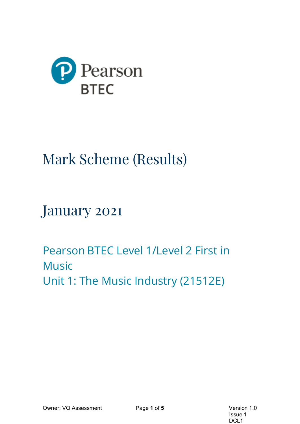

# Mark Scheme (Results)

January 2021

Pearson BTEC Level 1/Level 2 First in Music Unit 1: The Music Industry (21512E)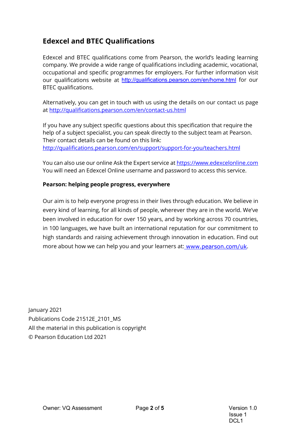# **Edexcel and BTEC Qualifications**

Edexcel and BTEC qualifications come from Pearson, the world's leading learning company. We provide a wide range of qualifications including academic, vocational, occupational and specific programmes for employers. For further information visit our qualifications website at <http://qualifications.pearson.com/en/home.html> for our BTEC qualifications.

Alternatively, you can get in touch with us using the details on our contact us page at<http://qualifications.pearson.com/en/contact-us.html>

If you have any subject specific questions about this specification that require the help of a subject specialist, you can speak directly to the subject team at Pearson. Their contact details can be found on this link: <http://qualifications.pearson.com/en/support/support-for-you/teachers.html>

You can also use our online Ask the Expert service a[t https://www.edexcelonline.com](https://www.edexcelonline.com/) You will need an Edexcel Online username and password to access this service.

#### **Pearson: helping people progress, everywhere**

Our aim is to help everyone progress in their lives through education. We believe in every kind of learning, for all kinds of people, wherever they are in the world. We've been involved in education for over 150 years, and by working across 70 countries, in 100 languages, we have built an international reputation for our commitment to high standards and raising achievement through innovation in education. Find out more about how we can help you and your learners at: [www.pearson.com/uk](http://www.pearson.com/uk).

January 2021 Publications Code 21512E\_2101\_MS All the material in this publication is copyright © Pearson Education Ltd 2021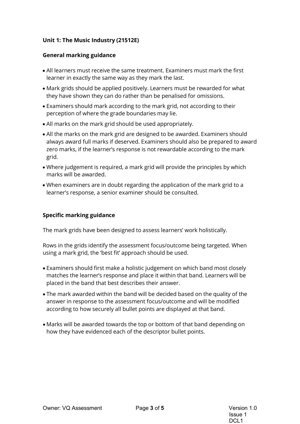### **Unit 1: The Music Industry (21512E)**

#### **General marking guidance**

- All learners must receive the same treatment. Examiners must mark the first learner in exactly the same way as they mark the last.
- Mark grids should be applied positively. Learners must be rewarded for what they have shown they can do rather than be penalised for omissions.
- Examiners should mark according to the mark grid, not according to their perception of where the grade boundaries may lie.
- All marks on the mark grid should be used appropriately.
- All the marks on the mark grid are designed to be awarded. Examiners should always award full marks if deserved. Examiners should also be prepared to award zero marks, if the learner's response is not rewardable according to the mark grid.
- Where judgement is required, a mark grid will provide the principles by which marks will be awarded.
- When examiners are in doubt regarding the application of the mark grid to a learner's response, a senior examiner should be consulted.

#### **Specific marking guidance**

The mark grids have been designed to assess learners' work holistically.

Rows in the grids identify the assessment focus/outcome being targeted. When using a mark grid, the 'best fit' approach should be used.

- Examiners should first make a holistic judgement on which band most closely matches the learner's response and place it within that band. Learners will be placed in the band that best describes their answer.
- The mark awarded within the band will be decided based on the quality of the answer in response to the assessment focus/outcome and will be modified according to how securely all bullet points are displayed at that band.
- Marks will be awarded towards the top or bottom of that band depending on how they have evidenced each of the descriptor bullet points.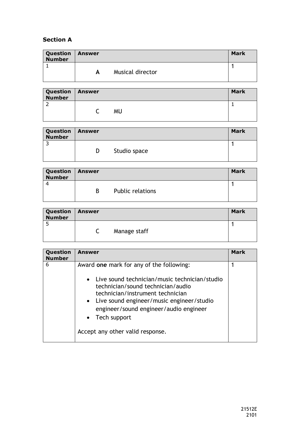## **Section A**

| <b>Question   Answer</b><br><b>Number</b> |   |                  | <b>Mark</b> |
|-------------------------------------------|---|------------------|-------------|
|                                           |   |                  |             |
|                                           | A | Musical director |             |

| Question   Answer<br><b>Number</b> |           | Mark |
|------------------------------------|-----------|------|
|                                    |           |      |
|                                    | <b>MU</b> |      |
|                                    |           |      |

| <b>Question   Answer</b><br><b>Number</b> |   |              | <b>Mark</b> |
|-------------------------------------------|---|--------------|-------------|
|                                           | D | Studio space |             |

| <b>Question   Answer</b><br><b>Number</b> |   |                  | Mark |
|-------------------------------------------|---|------------------|------|
|                                           | B | Public relations |      |

| Question   Answer<br><b>Number</b> |              | <b>Mark</b> |
|------------------------------------|--------------|-------------|
|                                    | Manage staff |             |

| Question<br><b>Number</b> | Answer                                                                                                                                                                                                                                                                                        | Mark |
|---------------------------|-----------------------------------------------------------------------------------------------------------------------------------------------------------------------------------------------------------------------------------------------------------------------------------------------|------|
| 6                         | Award one mark for any of the following:                                                                                                                                                                                                                                                      |      |
|                           | Live sound technician/music technician/studio<br>$\bullet$<br>technician/sound technician/audio<br>technician/instrument technician<br>• Live sound engineer/music engineer/studio<br>engineer/sound engineer/audio engineer<br>Tech support<br>$\bullet$<br>Accept any other valid response. |      |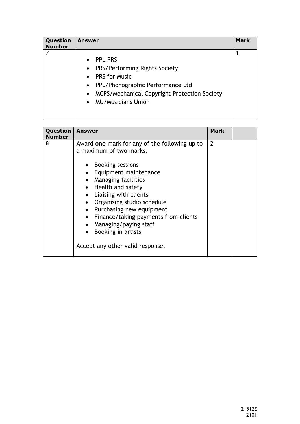| Question<br><b>Number</b> | <b>Answer</b>                                                                                                                                                                                                                                                          | <b>Mark</b> |
|---------------------------|------------------------------------------------------------------------------------------------------------------------------------------------------------------------------------------------------------------------------------------------------------------------|-------------|
|                           | <b>PPL PRS</b><br>$\bullet$<br>PRS/Performing Rights Society<br>$\bullet$<br><b>PRS</b> for Music<br>$\bullet$<br>PPL/Phonographic Performance Ltd<br>$\bullet$<br>MCPS/Mechanical Copyright Protection Society<br>$\bullet$<br><b>MU/Musicians Union</b><br>$\bullet$ |             |

| Question<br><b>Number</b> | <b>Answer</b>                                                                                                                                                                                                                                                                                                                                                                                                                        | <b>Mark</b>    |  |
|---------------------------|--------------------------------------------------------------------------------------------------------------------------------------------------------------------------------------------------------------------------------------------------------------------------------------------------------------------------------------------------------------------------------------------------------------------------------------|----------------|--|
| 8                         | Award one mark for any of the following up to<br>a maximum of two marks.<br><b>Booking sessions</b><br>• Equipment maintenance<br>Managing facilities<br>$\bullet$<br>• Health and safety<br>Liaising with clients<br>$\bullet$<br>Organising studio schedule<br>Purchasing new equipment<br>$\bullet$<br>Finance/taking payments from clients<br>$\bullet$<br>Managing/paying staff<br>$\bullet$<br>Booking in artists<br>$\bullet$ | $\overline{2}$ |  |
|                           | Accept any other valid response.                                                                                                                                                                                                                                                                                                                                                                                                     |                |  |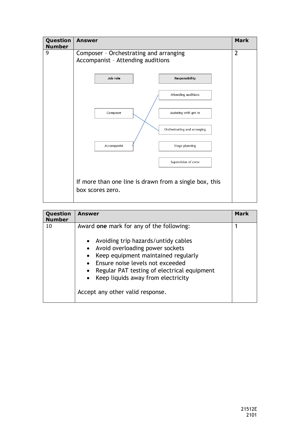

| Question<br><b>Number</b> | <b>Answer</b>                                                                                                                                                                                                                                                                                                          | <b>Mark</b> |
|---------------------------|------------------------------------------------------------------------------------------------------------------------------------------------------------------------------------------------------------------------------------------------------------------------------------------------------------------------|-------------|
| 10                        | Award one mark for any of the following:<br>Avoiding trip hazards/untidy cables<br>Avoid overloading power sockets<br>Keep equipment maintained regularly<br>Ensure noise levels not exceeded<br>Regular PAT testing of electrical equipment<br>Keep liquids away from electricity<br>Accept any other valid response. |             |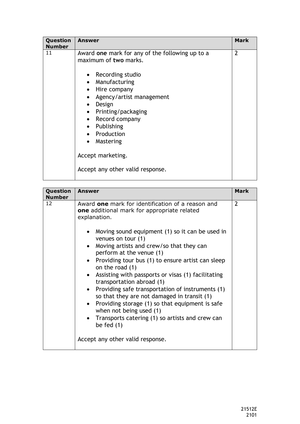| Question<br><b>Number</b> | Answer                                                                                                                                                                                                                                                                                                                                                                                | <b>Mark</b>    |
|---------------------------|---------------------------------------------------------------------------------------------------------------------------------------------------------------------------------------------------------------------------------------------------------------------------------------------------------------------------------------------------------------------------------------|----------------|
| 11                        | Award one mark for any of the following up to a<br>maximum of two marks.<br>Recording studio<br>$\bullet$<br>Manufacturing<br>$\bullet$<br>Hire company<br>$\bullet$<br>Agency/artist management<br>$\bullet$<br>Design<br>$\bullet$<br>Printing/packaging<br>$\bullet$<br>Record company<br>$\bullet$<br>• Publishing<br>• Production<br>Mastering<br>$\bullet$<br>Accept marketing. | $\overline{2}$ |
|                           | Accept any other valid response.                                                                                                                                                                                                                                                                                                                                                      |                |

| Question<br><b>Number</b> | Answer                                                                                                                                                                                                                                                                                                                                                                                                                                                                                                                                                                                                                                                                                                                                                                   | Mark           |
|---------------------------|--------------------------------------------------------------------------------------------------------------------------------------------------------------------------------------------------------------------------------------------------------------------------------------------------------------------------------------------------------------------------------------------------------------------------------------------------------------------------------------------------------------------------------------------------------------------------------------------------------------------------------------------------------------------------------------------------------------------------------------------------------------------------|----------------|
| 12                        | Award one mark for identification of a reason and<br>one additional mark for appropriate related<br>explanation.<br>Moving sound equipment (1) so it can be used in<br>venues on tour (1)<br>Moving artists and crew/so that they can<br>$\bullet$<br>perform at the venue (1)<br>Providing tour bus (1) to ensure artist can sleep<br>$\bullet$<br>on the road (1)<br>Assisting with passports or visas (1) facilitating<br>$\bullet$<br>transportation abroad (1)<br>Providing safe transportation of instruments (1)<br>so that they are not damaged in transit (1)<br>Providing storage (1) so that equipment is safe<br>$\bullet$<br>when not being used (1)<br>Transports catering (1) so artists and crew can<br>be fed $(1)$<br>Accept any other valid response. | $\overline{2}$ |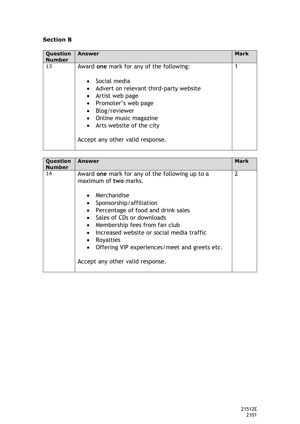## **Section B**

| Question<br><b>Number</b> | <b>Answer</b>                                                                                                                                                                                                                                                                                                                                     | <b>Mark</b> |
|---------------------------|---------------------------------------------------------------------------------------------------------------------------------------------------------------------------------------------------------------------------------------------------------------------------------------------------------------------------------------------------|-------------|
| 13                        | Award one mark for any of the following:<br>Social media<br>$\bullet$<br>Advert on relevant third-party website<br>$\bullet$<br>Artist web page<br>$\bullet$<br>Promoter's web page<br>$\bullet$<br>Blog/reviewer<br>$\bullet$<br>Online music magazine<br>$\bullet$<br>Arts website of the city<br>$\bullet$<br>Accept any other valid response. |             |
|                           |                                                                                                                                                                                                                                                                                                                                                   |             |

| Question<br><b>Number</b> | <b>Answer</b>                                                            | Mark           |
|---------------------------|--------------------------------------------------------------------------|----------------|
| 14                        | Award one mark for any of the following up to a<br>maximum of two marks. | $\mathfrak{p}$ |
|                           | Merchandise                                                              |                |
|                           | Sponsorship/affiliation                                                  |                |
|                           | Percentage of food and drink sales                                       |                |
|                           | • Sales of CDs or downloads                                              |                |
|                           | Membership fees from fan club<br>$\bullet$                               |                |
|                           | Increased website or social media traffic                                |                |
|                           | Royalties<br>$\bullet$                                                   |                |
|                           | Offering VIP experiences/meet and greets etc.<br>$\bullet$               |                |
|                           | Accept any other valid response.                                         |                |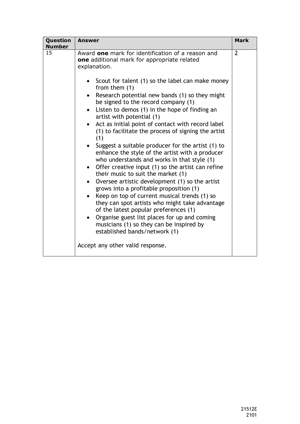| Question<br><b>Number</b> | Answer                                                                                                                                                                                                                                                                                                                                                                                                                                                                                                                                                                                                                                    | <b>Mark</b>    |
|---------------------------|-------------------------------------------------------------------------------------------------------------------------------------------------------------------------------------------------------------------------------------------------------------------------------------------------------------------------------------------------------------------------------------------------------------------------------------------------------------------------------------------------------------------------------------------------------------------------------------------------------------------------------------------|----------------|
| 15                        | Award one mark for identification of a reason and<br>one additional mark for appropriate related<br>explanation.<br>• Scout for talent (1) so the label can make money<br>from them $(1)$<br>Research potential new bands (1) so they might<br>be signed to the record company (1)<br>Listen to demos (1) in the hope of finding an<br>artist with potential (1)<br>Act as initial point of contact with record label<br>(1) to facilitate the process of signing the artist<br>(1)<br>Suggest a suitable producer for the artist (1) to                                                                                                  | $\overline{2}$ |
|                           | enhance the style of the artist with a producer<br>who understands and works in that style (1)<br>Offer creative input (1) so the artist can refine<br>$\bullet$<br>their music to suit the market (1)<br>Oversee artistic development (1) so the artist<br>$\bullet$<br>grows into a profitable proposition (1)<br>Keep on top of current musical trends (1) so<br>they can spot artists who might take advantage<br>of the latest popular preferences (1)<br>Organise guest list places for up and coming<br>$\bullet$<br>musicians (1) so they can be inspired by<br>established bands/network (1)<br>Accept any other valid response. |                |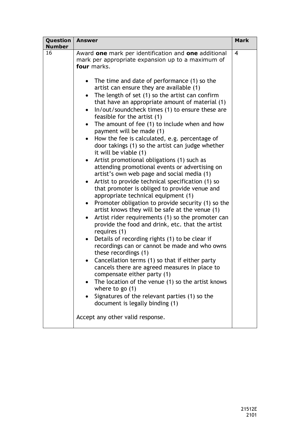| Question<br><b>Number</b> | <b>Answer</b>                                                                                                                                                                                                                                                                                                                                                                                                                                                                                                                                                                                                                                                                                                                                                                                                                                                                                                                                                                                                                                                                                                                                                                                                                                                                                                                                                                                                                                                                                                                                                                                                                                                   | <b>Mark</b>             |
|---------------------------|-----------------------------------------------------------------------------------------------------------------------------------------------------------------------------------------------------------------------------------------------------------------------------------------------------------------------------------------------------------------------------------------------------------------------------------------------------------------------------------------------------------------------------------------------------------------------------------------------------------------------------------------------------------------------------------------------------------------------------------------------------------------------------------------------------------------------------------------------------------------------------------------------------------------------------------------------------------------------------------------------------------------------------------------------------------------------------------------------------------------------------------------------------------------------------------------------------------------------------------------------------------------------------------------------------------------------------------------------------------------------------------------------------------------------------------------------------------------------------------------------------------------------------------------------------------------------------------------------------------------------------------------------------------------|-------------------------|
| 16                        | Award one mark per identification and one additional<br>mark per appropriate expansion up to a maximum of<br>four marks.<br>The time and date of performance (1) so the<br>$\bullet$<br>artist can ensure they are available (1)<br>The length of set (1) so the artist can confirm<br>$\bullet$<br>that have an appropriate amount of material (1)<br>In/out/soundcheck times (1) to ensure these are<br>$\bullet$<br>feasible for the artist (1)<br>The amount of fee (1) to include when and how<br>$\bullet$<br>payment will be made (1)<br>How the fee is calculated, e.g. percentage of<br>door takings (1) so the artist can judge whether<br>it will be viable (1)<br>Artist promotional obligations (1) such as<br>$\bullet$<br>attending promotional events or advertising on<br>artist's own web page and social media (1)<br>Artist to provide technical specification (1) so<br>$\bullet$<br>that promoter is obliged to provide venue and<br>appropriate technical equipment (1)<br>Promoter obligation to provide security (1) so the<br>$\bullet$<br>artist knows they will be safe at the venue (1)<br>Artist rider requirements (1) so the promoter can<br>provide the food and drink, etc. that the artist<br>requires (1)<br>Details of recording rights (1) to be clear if<br>$\bullet$<br>recordings can or cannot be made and who owns<br>these recordings (1)<br>Cancellation terms (1) so that if either party<br>cancels there are agreed measures in place to<br>compensate either party (1)<br>The location of the venue (1) so the artist knows<br>$\bullet$<br>where to go $(1)$<br>Signatures of the relevant parties (1) so the | $\overline{\mathbf{4}}$ |
|                           | document is legally binding (1)<br>Accept any other valid response.                                                                                                                                                                                                                                                                                                                                                                                                                                                                                                                                                                                                                                                                                                                                                                                                                                                                                                                                                                                                                                                                                                                                                                                                                                                                                                                                                                                                                                                                                                                                                                                             |                         |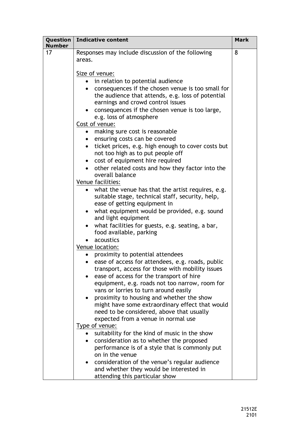| Question  <br><b>Number</b> | <b>Indicative content</b>                                                                               | <b>Mark</b> |
|-----------------------------|---------------------------------------------------------------------------------------------------------|-------------|
| 17                          | Responses may include discussion of the following                                                       | 8           |
|                             | areas.                                                                                                  |             |
|                             | Size of venue:                                                                                          |             |
|                             | • in relation to potential audience                                                                     |             |
|                             | • consequences if the chosen venue is too small for                                                     |             |
|                             | the audience that attends, e.g. loss of potential                                                       |             |
|                             | earnings and crowd control issues                                                                       |             |
|                             | • consequences if the chosen venue is too large,                                                        |             |
|                             | e.g. loss of atmosphere<br>Cost of venue:                                                               |             |
|                             | making sure cost is reasonable<br>$\bullet$                                                             |             |
|                             | • ensuring costs can be covered                                                                         |             |
|                             | ticket prices, e.g. high enough to cover costs but<br>$\bullet$                                         |             |
|                             | not too high as to put people off                                                                       |             |
|                             | cost of equipment hire required<br>$\bullet$                                                            |             |
|                             | other related costs and how they factor into the                                                        |             |
|                             | overall balance                                                                                         |             |
|                             | Venue facilities:                                                                                       |             |
|                             | • what the venue has that the artist requires, e.g.<br>suitable stage, technical staff, security, help, |             |
|                             | ease of getting equipment in                                                                            |             |
|                             | what equipment would be provided, e.g. sound<br>$\bullet$                                               |             |
|                             | and light equipment                                                                                     |             |
|                             | what facilities for guests, e.g. seating, a bar,<br>$\bullet$                                           |             |
|                             | food available, parking                                                                                 |             |
|                             | acoustics                                                                                               |             |
|                             | Venue location:                                                                                         |             |
|                             | proximity to potential attendees<br>ease of access for attendees, e.g. roads, public                    |             |
|                             | transport, access for those with mobility issues                                                        |             |
|                             | ease of access for the transport of hire                                                                |             |
|                             | equipment, e.g. roads not too narrow, room for                                                          |             |
|                             | vans or lorries to turn around easily                                                                   |             |
|                             | proximity to housing and whether the show                                                               |             |
|                             | might have some extraordinary effect that would                                                         |             |
|                             | need to be considered, above that usually                                                               |             |
|                             | expected from a venue in normal use<br>Type of venue:                                                   |             |
|                             | suitability for the kind of music in the show                                                           |             |
|                             | consideration as to whether the proposed                                                                |             |
|                             | performance is of a style that is commonly put                                                          |             |
|                             | on in the venue                                                                                         |             |
|                             | consideration of the venue's regular audience                                                           |             |
|                             | and whether they would be interested in                                                                 |             |
|                             | attending this particular show                                                                          |             |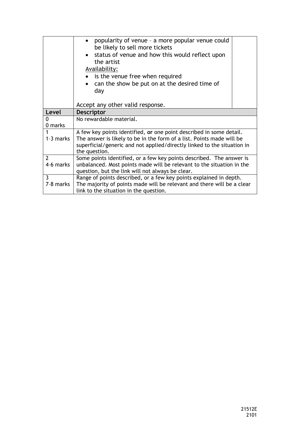|                | popularity of venue - a more popular venue could<br>be likely to sell more tickets<br>status of venue and how this would reflect upon<br>the artist<br>Availability:<br>• is the venue free when required<br>can the show be put on at the desired time of<br>day |  |
|----------------|-------------------------------------------------------------------------------------------------------------------------------------------------------------------------------------------------------------------------------------------------------------------|--|
|                | Accept any other valid response.                                                                                                                                                                                                                                  |  |
| Level          | <b>Descriptor</b>                                                                                                                                                                                                                                                 |  |
| 0              | No rewardable material.                                                                                                                                                                                                                                           |  |
| 0 marks        |                                                                                                                                                                                                                                                                   |  |
|                | A few key points identified, or one point described in some detail.                                                                                                                                                                                               |  |
| 1-3 marks      | The answer is likely to be in the form of a list. Points made will be                                                                                                                                                                                             |  |
|                | superficial/generic and not applied/directly linked to the situation in                                                                                                                                                                                           |  |
|                | the question.                                                                                                                                                                                                                                                     |  |
| $\overline{2}$ | Some points identified, or a few key points described. The answer is                                                                                                                                                                                              |  |
| 4-6 marks      | unbalanced. Most points made will be relevant to the situation in the                                                                                                                                                                                             |  |
|                | question, but the link will not always be clear.                                                                                                                                                                                                                  |  |
| 3              | Range of points described, or a few key points explained in depth.                                                                                                                                                                                                |  |
| 7-8 marks      | The majority of points made will be relevant and there will be a clear                                                                                                                                                                                            |  |
|                | link to the situation in the question.                                                                                                                                                                                                                            |  |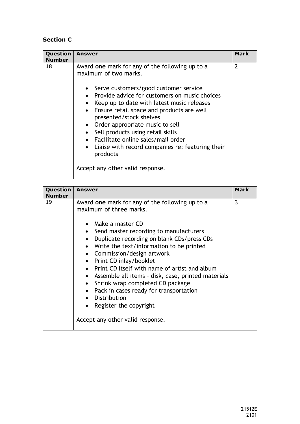# **Section C**

| Question<br><b>Number</b> | Answer                                                                                                                                                                                                                                                                                                                                                                                                                                                                                                                                         | <b>Mark</b>    |
|---------------------------|------------------------------------------------------------------------------------------------------------------------------------------------------------------------------------------------------------------------------------------------------------------------------------------------------------------------------------------------------------------------------------------------------------------------------------------------------------------------------------------------------------------------------------------------|----------------|
| 18                        | Award one mark for any of the following up to a<br>maximum of two marks.<br>• Serve customers/good customer service<br>• Provide advice for customers on music choices<br>Keep up to date with latest music releases<br>• Ensure retail space and products are well<br>presented/stock shelves<br>• Order appropriate music to sell<br>• Sell products using retail skills<br>Facilitate online sales/mail order<br>$\bullet$<br>Liaise with record companies re: featuring their<br>$\bullet$<br>products<br>Accept any other valid response. | $\overline{2}$ |
|                           |                                                                                                                                                                                                                                                                                                                                                                                                                                                                                                                                                |                |

| Question<br>Number | <b>Answer</b>                                                                                                                                                                                                                                                                                                                                                                                                                                                                                                      | Mark |
|--------------------|--------------------------------------------------------------------------------------------------------------------------------------------------------------------------------------------------------------------------------------------------------------------------------------------------------------------------------------------------------------------------------------------------------------------------------------------------------------------------------------------------------------------|------|
| 19                 | Award one mark for any of the following up to a<br>maximum of three marks.<br>Make a master CD<br>• Send master recording to manufacturers<br>Duplicate recording on blank CDs/press CDs<br>• Write the text/information to be printed<br>• Commission/design artwork<br>• Print CD inlay/booklet<br>Print CD itself with name of artist and album<br>• Assemble all items - disk, case, printed materials<br>Shrink wrap completed CD package<br>$\bullet$<br>Pack in cases ready for transportation<br>$\bullet$ | 3    |
|                    | Distribution<br>Register the copyright<br>$\bullet$<br>Accept any other valid response.                                                                                                                                                                                                                                                                                                                                                                                                                            |      |
|                    |                                                                                                                                                                                                                                                                                                                                                                                                                                                                                                                    |      |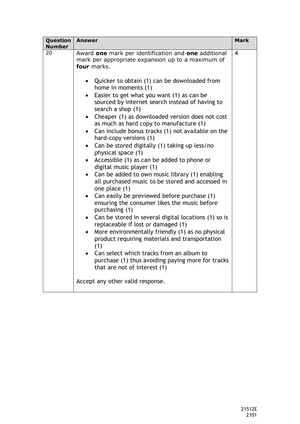| Question<br><b>Number</b> | <b>Answer</b>                                                                                                                                                                                                                                                                                                                                                                                                                                                                                                                                                                                                                                                                                                                                                                                     | <b>Mark</b>    |
|---------------------------|---------------------------------------------------------------------------------------------------------------------------------------------------------------------------------------------------------------------------------------------------------------------------------------------------------------------------------------------------------------------------------------------------------------------------------------------------------------------------------------------------------------------------------------------------------------------------------------------------------------------------------------------------------------------------------------------------------------------------------------------------------------------------------------------------|----------------|
| 20                        | Award one mark per identification and one additional<br>mark per appropriate expansion up to a maximum of<br>four marks.<br>• Quicker to obtain (1) can be downloaded from<br>home in moments (1)<br>Easier to get what you want (1) as can be<br>$\bullet$<br>sourced by internet search instead of having to<br>search a shop (1)<br>Cheaper (1) as downloaded version does not cost<br>$\bullet$<br>as much as hard copy to manufacture (1)<br>Can include bonus tracks (1) not available on the<br>hard-copy versions (1)<br>Can be stored digitally (1) taking up less/no<br>$\bullet$<br>physical space (1)<br>Accessible (1) as can be added to phone or<br>digital music player (1)<br>Can be added to own music library (1) enabling<br>all purchased music to be stored and accessed in | $\overline{4}$ |
|                           | one place (1)<br>Can easily be previewed before purchase (1)<br>$\bullet$<br>ensuring the consumer likes the music before<br>purchasing (1)                                                                                                                                                                                                                                                                                                                                                                                                                                                                                                                                                                                                                                                       |                |
|                           | Can be stored in several digital locations (1) so is<br>replaceable if lost or damaged (1)<br>More environmentally friendly (1) as no physical<br>product requiring materials and transportation<br>(1)<br>Can select which tracks from an album to                                                                                                                                                                                                                                                                                                                                                                                                                                                                                                                                               |                |
|                           | purchase (1) thus avoiding paying more for tracks<br>that are not of interest (1)<br>Accept any other valid response.                                                                                                                                                                                                                                                                                                                                                                                                                                                                                                                                                                                                                                                                             |                |
|                           |                                                                                                                                                                                                                                                                                                                                                                                                                                                                                                                                                                                                                                                                                                                                                                                                   |                |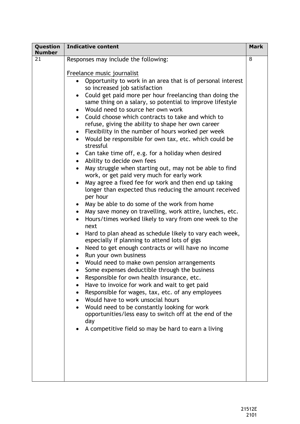| Question<br><b>Number</b> | <b>Indicative content</b>                                                                                                                                                                                                                                                                                                                                                                                                                                                                                                                                                                                                                                                                                                                                                                                                                                                                                                                                                                                                                                                                                                                                                                                                                                                                                                                                                                                                                                                                                                                                                                                                                                                                                                                                                                                                                                            | <b>Mark</b> |
|---------------------------|----------------------------------------------------------------------------------------------------------------------------------------------------------------------------------------------------------------------------------------------------------------------------------------------------------------------------------------------------------------------------------------------------------------------------------------------------------------------------------------------------------------------------------------------------------------------------------------------------------------------------------------------------------------------------------------------------------------------------------------------------------------------------------------------------------------------------------------------------------------------------------------------------------------------------------------------------------------------------------------------------------------------------------------------------------------------------------------------------------------------------------------------------------------------------------------------------------------------------------------------------------------------------------------------------------------------------------------------------------------------------------------------------------------------------------------------------------------------------------------------------------------------------------------------------------------------------------------------------------------------------------------------------------------------------------------------------------------------------------------------------------------------------------------------------------------------------------------------------------------------|-------------|
| 21                        | Responses may include the following:<br>Freelance music journalist<br>Opportunity to work in an area that is of personal interest<br>so increased job satisfaction<br>Could get paid more per hour freelancing than doing the<br>same thing on a salary, so potential to improve lifestyle<br>Would need to source her own work<br>Could choose which contracts to take and which to<br>$\bullet$<br>refuse, giving the ability to shape her own career<br>Flexibility in the number of hours worked per week<br>$\bullet$<br>Would be responsible for own tax, etc. which could be<br>stressful<br>Can take time off, e.g. for a holiday when desired<br>$\bullet$<br>Ability to decide own fees<br>$\bullet$<br>May struggle when starting out, may not be able to find<br>$\bullet$<br>work, or get paid very much for early work<br>May agree a fixed fee for work and then end up taking<br>$\bullet$<br>longer than expected thus reducing the amount received<br>per hour<br>May be able to do some of the work from home<br>May save money on travelling, work attire, lunches, etc.<br>$\bullet$<br>Hours/times worked likely to vary from one week to the<br>$\bullet$<br>next<br>Hard to plan ahead as schedule likely to vary each week,<br>especially if planning to attend lots of gigs<br>Need to get enough contracts or will have no income<br>Run your own business<br>$\bullet$<br>Would need to make own pension arrangements<br>Some expenses deductible through the business<br>Responsible for own health insurance, etc.<br>Have to invoice for work and wait to get paid<br>Responsible for wages, tax, etc. of any employees<br>Would have to work unsocial hours<br>Would need to be constantly looking for work<br>opportunities/less easy to switch off at the end of the<br>day<br>A competitive field so may be hard to earn a living | 8           |
|                           |                                                                                                                                                                                                                                                                                                                                                                                                                                                                                                                                                                                                                                                                                                                                                                                                                                                                                                                                                                                                                                                                                                                                                                                                                                                                                                                                                                                                                                                                                                                                                                                                                                                                                                                                                                                                                                                                      |             |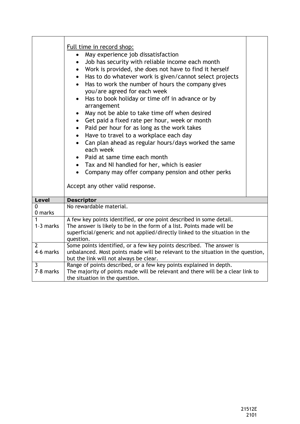|                             | Full time in record shop:<br>May experience job dissatisfaction<br>Job has security with reliable income each month<br>$\bullet$<br>Work is provided, she does not have to find it herself<br>$\bullet$<br>Has to do whatever work is given/cannot select projects<br>$\bullet$<br>Has to work the number of hours the company gives<br>$\bullet$<br>you/are agreed for each week<br>Has to book holiday or time off in advance or by<br>arrangement<br>May not be able to take time off when desired<br>$\bullet$<br>• Get paid a fixed rate per hour, week or month<br>Paid per hour for as long as the work takes<br>$\bullet$<br>Have to travel to a workplace each day<br>$\bullet$<br>Can plan ahead as regular hours/days worked the same<br>$\bullet$<br>each week<br>Paid at same time each month<br>Tax and NI handled for her, which is easier<br>Company may offer company pension and other perks<br>$\bullet$<br>Accept any other valid response. |  |
|-----------------------------|-----------------------------------------------------------------------------------------------------------------------------------------------------------------------------------------------------------------------------------------------------------------------------------------------------------------------------------------------------------------------------------------------------------------------------------------------------------------------------------------------------------------------------------------------------------------------------------------------------------------------------------------------------------------------------------------------------------------------------------------------------------------------------------------------------------------------------------------------------------------------------------------------------------------------------------------------------------------|--|
| <b>Level</b>                | <b>Descriptor</b>                                                                                                                                                                                                                                                                                                                                                                                                                                                                                                                                                                                                                                                                                                                                                                                                                                                                                                                                               |  |
| $\mathbf 0$<br>0 marks      | No rewardable material.                                                                                                                                                                                                                                                                                                                                                                                                                                                                                                                                                                                                                                                                                                                                                                                                                                                                                                                                         |  |
| 1<br>1-3 marks              | A few key points identified, or one point described in some detail.<br>The answer is likely to be in the form of a list. Points made will be<br>superficial/generic and not applied/directly linked to the situation in the<br>question.                                                                                                                                                                                                                                                                                                                                                                                                                                                                                                                                                                                                                                                                                                                        |  |
| $\overline{2}$<br>4-6 marks | Some points identified, or a few key points described. The answer is<br>unbalanced. Most points made will be relevant to the situation in the question,<br>but the link will not always be clear.                                                                                                                                                                                                                                                                                                                                                                                                                                                                                                                                                                                                                                                                                                                                                               |  |
| $\overline{3}$<br>7-8 marks | Range of points described, or a few key points explained in depth.<br>The majority of points made will be relevant and there will be a clear link to<br>the situation in the question.                                                                                                                                                                                                                                                                                                                                                                                                                                                                                                                                                                                                                                                                                                                                                                          |  |